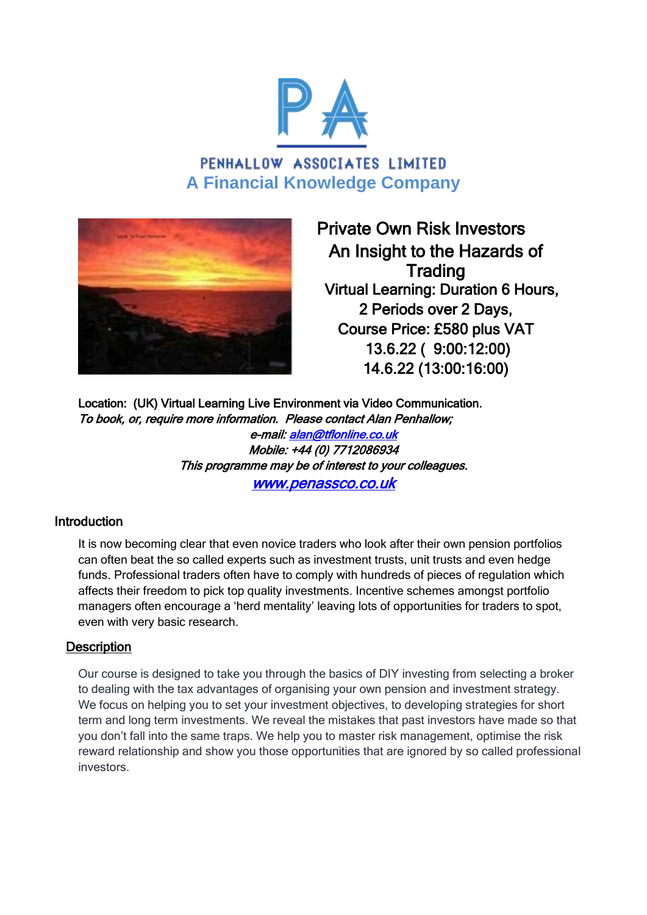

PENHALLOW ASSOCIATES LIMITED **A Financial Knowledge Company**



 Private Own Risk Investors An Insight to the Hazards of **Trading**  Virtual Learning: Duration 6 Hours, 2 Periods over 2 Days, Course Price: £580 plus VAT 13.6.22 ( 9:00:12:00) 14.6.22 (13:00:16:00)

Location: (UK) Virtual Learning Live Environment via Video Communication. To book, or, require more information. Please contact Alan Penhallow; e-mail: [alan@tflonline.co.uk](mailto:alan@tflonline.co.uk)  Mobile: +44 (0) 7712086934 This programme may be of interest to your colleagues. [www.penassco.co.uk](http://www.penassco.co.uk/) 

## **Introduction**

It is now becoming clear that even novice traders who look after their own pension portfolios can often beat the so called experts such as investment trusts, unit trusts and even hedge funds. Professional traders often have to comply with hundreds of pieces of regulation which affects their freedom to pick top quality investments. Incentive schemes amongst portfolio managers often encourage a 'herd mentality' leaving lots of opportunities for traders to spot, even with very basic research.

#### **Description**

Our course is designed to take you through the basics of DIY investing from selecting a broker to dealing with the tax advantages of organising your own pension and investment strategy. We focus on helping you to set your investment objectives, to developing strategies for short term and long term investments. We reveal the mistakes that past investors have made so that you don't fall into the same traps. We help you to master risk management, optimise the risk reward relationship and show you those opportunities that are ignored by so called professional investors.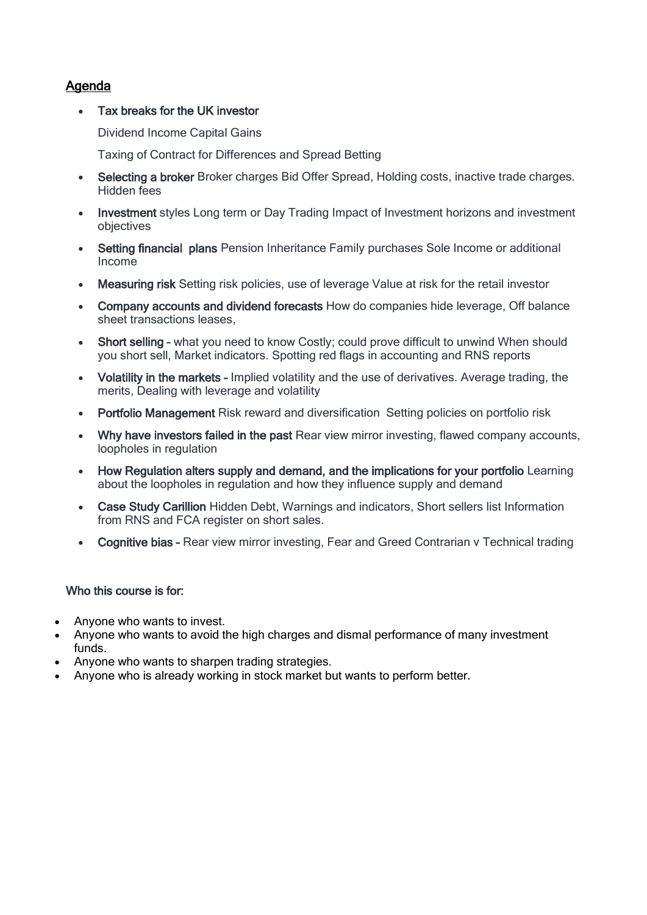# Agenda

#### Tax breaks for the UK investor

Dividend Income Capital Gains

Taxing of Contract for Differences and Spread Betting

- Selecting a broker Broker charges Bid Offer Spread, Holding costs, inactive trade charges. Hidden fees
- Investment styles Long term or Day Trading Impact of Investment horizons and investment objectives
- Setting financial plans Pension Inheritance Family purchases Sole Income or additional Income
- Measuring risk Setting risk policies, use of leverage Value at risk for the retail investor
- Company accounts and dividend forecasts How do companies hide leverage, Off balance sheet transactions leases,
- Short selling what you need to know Costly; could prove difficult to unwind When should you short sell, Market indicators. Spotting red flags in accounting and RNS reports
- Volatility in the markets Implied volatility and the use of derivatives. Average trading, the merits, Dealing with leverage and volatility
- Portfolio Management Risk reward and diversification Setting policies on portfolio risk
- Why have investors failed in the past Rear view mirror investing, flawed company accounts, loopholes in regulation
- How Regulation alters supply and demand, and the implications for your portfolio Learning about the loopholes in regulation and how they influence supply and demand
- Case Study Carillion Hidden Debt, Warnings and indicators, Short sellers list Information from RNS and FCA register on short sales.
- Cognitive bias Rear view mirror investing, Fear and Greed Contrarian v Technical trading

#### Who this course is for:

- Anyone who wants to invest.
- Anyone who wants to avoid the high charges and dismal performance of many investment funds.
- Anyone who wants to sharpen trading strategies.
- Anyone who is already working in stock market but wants to perform better.